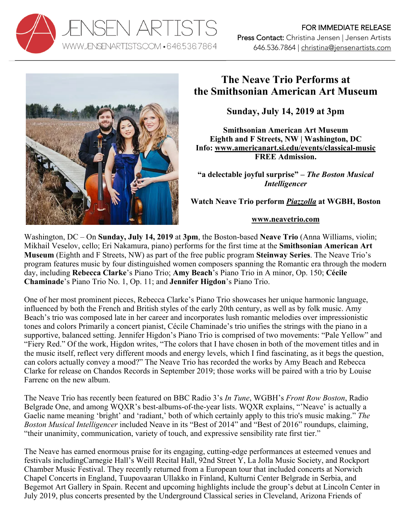



## **The Neave Trio Performs at the Smithsonian American Art Museum**

**Sunday, July 14, 2019 at 3pm**

**Smithsonian American Art Museum Eighth and F Streets, NW | Washington, DC Info: www.americanart.si.edu/events/classical-music FREE Admission.**

**"a delectable joyful surprise" –** *The Boston Musical Intelligencer*

**Watch Neave Trio perform** *Piazzolla* **at WGBH, Boston**

## **www.neavetrio.com**

Washington, DC – On **Sunday, July 14, 2019** at **3pm**, the Boston-based **Neave Trio** (Anna Williams, violin; Mikhail Veselov, cello; Eri Nakamura, piano) performs for the first time at the **Smithsonian American Art Museum** (Eighth and F Streets, NW) as part of the free public program **Steinway Series**. The Neave Trio's program features music by four distinguished women composers spanning the Romantic era through the modern day, including **Rebecca Clarke**'s Piano Trio; **Amy Beach**'s Piano Trio in A minor, Op. 150; **Cécile Chaminade**'s Piano Trio No. 1, Op. 11; and **Jennifer Higdon**'s Piano Trio.

One of her most prominent pieces, Rebecca Clarke's Piano Trio showcases her unique harmonic language, influenced by both the French and British styles of the early 20th century, as well as by folk music. Amy Beach's trio was composed late in her career and incorporates lush romantic melodies over impressionistic tones and colors Primarily a concert pianist, Cécile Chaminade's trio unifies the strings with the piano in a supportive, balanced setting. Jennifer Higdon's Piano Trio is comprised of two movements: "Pale Yellow" and "Fiery Red." Of the work, Higdon writes, "The colors that I have chosen in both of the movement titles and in the music itself, reflect very different moods and energy levels, which I find fascinating, as it begs the question, can colors actually convey a mood?" The Neave Trio has recorded the works by Amy Beach and Rebecca Clarke for release on Chandos Records in September 2019; those works will be paired with a trio by Louise Farrenc on the new album.

The Neave Trio has recently been featured on BBC Radio 3's *In Tune*, WGBH's *Front Row Boston*, Radio Belgrade One, and among WQXR's best-albums-of-the-year lists. WQXR explains, "'Neave' is actually a Gaelic name meaning 'bright' and 'radiant,' both of which certainly apply to this trio's music making." *The Boston Musical Intelligencer* included Neave in its "Best of 2014" and "Best of 2016" roundups, claiming, "their unanimity, communication, variety of touch, and expressive sensibility rate first tier."

The Neave has earned enormous praise for its engaging, cutting-edge performances at esteemed venues and festivals includingCarnegie Hall's Weill Recital Hall, 92nd Street Y, La Jolla Music Society, and Rockport Chamber Music Festival. They recently returned from a European tour that included concerts at Norwich Chapel Concerts in England, Tuupovaaran Ullakko in Finland, Kulturni Center Belgrade in Serbia, and Begemot Art Gallery in Spain. Recent and upcoming highlights include the group's debut at Lincoln Center in July 2019, plus concerts presented by the Underground Classical series in Cleveland, Arizona Friends of